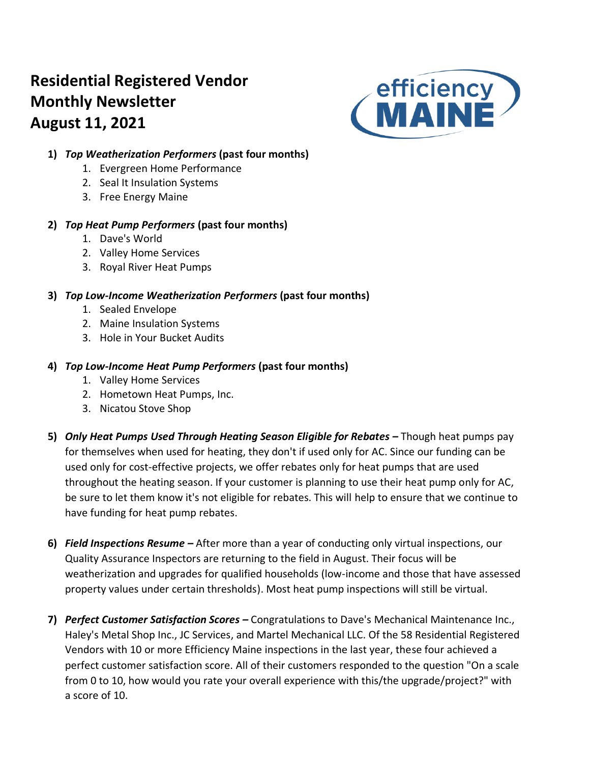# **Residential Registered Vendor Monthly Newsletter August 11, 2021**



## **1)** *Top Weatherization Performers* **(past four months)**

- 1. Evergreen Home Performance
- 2. Seal It Insulation Systems
- 3. Free Energy Maine

## **2)** *Top Heat Pump Performers* **(past four months)**

- 1. Dave's World
- 2. Valley Home Services
- 3. Royal River Heat Pumps

## **3)** *Top Low-Income Weatherization Performers* **(past four months)**

- 1. Sealed Envelope
- 2. Maine Insulation Systems
- 3. Hole in Your Bucket Audits

## **4)** *Top Low-Income Heat Pump Performers* **(past four months)**

- 1. Valley Home Services
- 2. Hometown Heat Pumps, Inc.
- 3. Nicatou Stove Shop
- **5)** *Only Heat Pumps Used Through Heating Season Eligible for Rebates –* Though heat pumps pay for themselves when used for heating, they don't if used only for AC. Since our funding can be used only for cost-effective projects, we offer rebates only for heat pumps that are used throughout the heating season. If your customer is planning to use their heat pump only for AC, be sure to let them know it's not eligible for rebates. This will help to ensure that we continue to have funding for heat pump rebates.
- **6)** *Field Inspections Resume –* After more than a year of conducting only virtual inspections, our Quality Assurance Inspectors are returning to the field in August. Their focus will be weatherization and upgrades for qualified households (low-income and those that have assessed property values under certain thresholds). Most heat pump inspections will still be virtual.
- **7)** *Perfect Customer Satisfaction Scores –* Congratulations to Dave's Mechanical Maintenance Inc., Haley's Metal Shop Inc., JC Services, and Martel Mechanical LLC. Of the 58 Residential Registered Vendors with 10 or more Efficiency Maine inspections in the last year, these four achieved a perfect customer satisfaction score. All of their customers responded to the question "On a scale from 0 to 10, how would you rate your overall experience with this/the upgrade/project?" with a score of 10.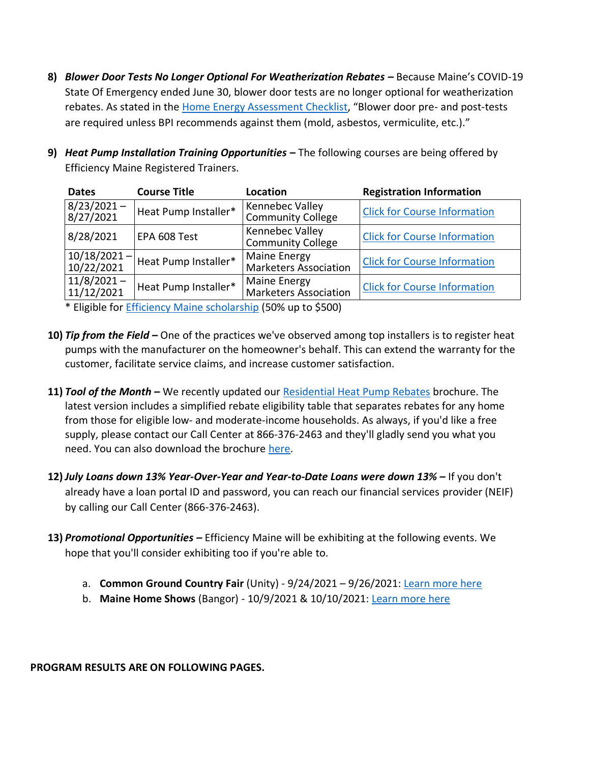- **8)** *Blower Door Tests No Longer Optional For Weatherization Rebates –* Because Maine's COVID-19 State Of Emergency ended June 30, blower door tests are no longer optional for weatherization rebates. As stated in th[e Home Energy Assessment Checklist](https://www.efficiencymaine.com/docs/Home_Energy_Assessment_Checklist.pdf), "Blower door pre- and post-tests are required unless BPI recommends against them (mold, asbestos, vermiculite, etc.)."
- **9)** *Heat Pump Installation Training Opportunities* **–** The following courses are being offered by Efficiency Maine Registered Trainers.

| <b>Dates</b>                 | <b>Course Title</b>  | Location                                            | <b>Registration Information</b>     |
|------------------------------|----------------------|-----------------------------------------------------|-------------------------------------|
| $8/23/2021 -$<br>8/27/2021   | Heat Pump Installer* | Kennebec Valley<br><b>Community College</b>         | <b>Click for Course Information</b> |
| 8/28/2021                    | EPA 608 Test         | Kennebec Valley<br><b>Community College</b>         | <b>Click for Course Information</b> |
| $10/18/2021 -$<br>10/22/2021 | Heat Pump Installer* | <b>Maine Energy</b><br><b>Marketers Association</b> | <b>Click for Course Information</b> |
| $11/8/2021 -$<br>11/12/2021  | Heat Pump Installer* | <b>Maine Energy</b><br><b>Marketers Association</b> | <b>Click for Course Information</b> |

\* Eligible for [Efficiency Maine scholarship](https://www.efficiencymaine.com/docs/RRV-Heat-Pump-Training-Scholarship-Application.pdf) (50% up to \$500)

- **10)** *Tip from the Field –* One of the practices we've observed among top installers is to register heat pumps with the manufacturer on the homeowner's behalf. This can extend the warranty for the customer, facilitate service claims, and increase customer satisfaction.
- **11)** *Tool of the Month –* We recently updated our [Residential Heat Pump Rebates](https://www.efficiencymaine.com/docs/Heat-Pump-Rebate-Brochure.pdf) brochure. The latest version includes a simplified rebate eligibility table that separates rebates for any home from those for eligible low- and moderate-income households. As always, if you'd like a free supply, please contact our Call Center at 866-376-2463 and they'll gladly send you what you need. You can also download the brochure [here.](https://www.efficiencymaine.com/docs/Heat-Pump-Rebate-Brochure.pdf)
- **12)** *July Loans down 13% Year-Over-Year and Year-to-Date Loans were down 13% –* If you don't already have a loan portal ID and password, you can reach our financial services provider (NEIF) by calling our Call Center (866-376-2463).
- **13)** *Promotional Opportunities –* Efficiency Maine will be exhibiting at the following events. We hope that you'll consider exhibiting too if you're able to.
	- a. **Common Ground Country Fair** (Unity) 9/24/2021 9/26/2021: [Learn more here](https://www.mofga.org/event-calendar/common-ground-country-fair/2021-09-24/)
	- b. **Maine Home Shows** (Bangor) 10/9/2021 & 10/10/2021: [Learn more here](https://mainehomeshows.com/)

**PROGRAM RESULTS ARE ON FOLLOWING PAGES.**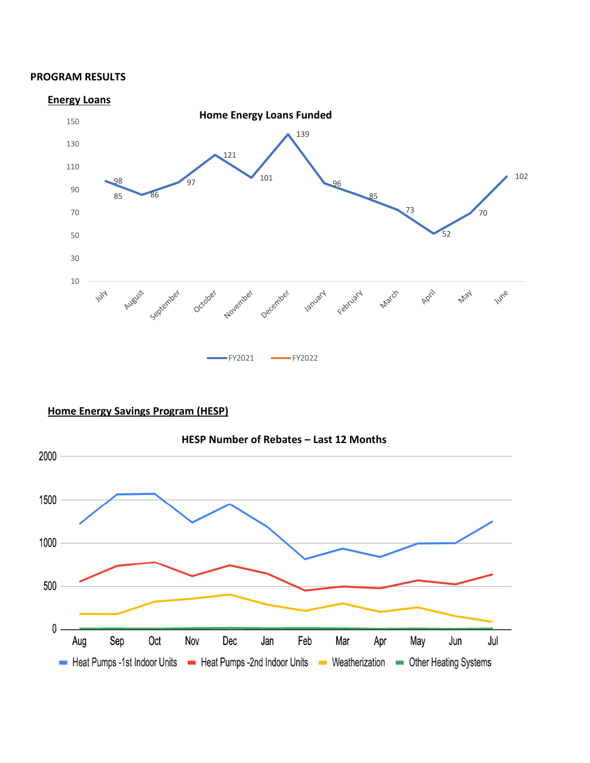#### **PROGRAM RESULTS**



### **Home Energy Savings Program (HESP)**

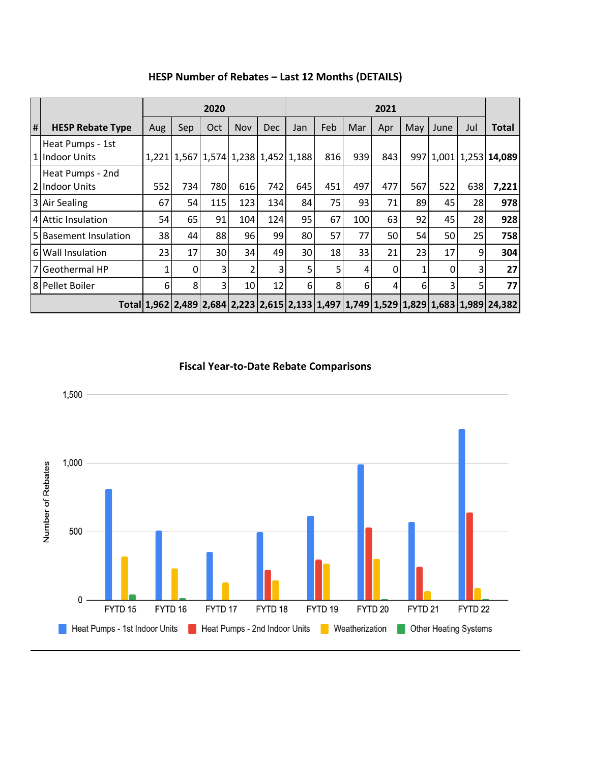|   |                                    |     |              | 2020                                          |                |            | 2021 |     |     |     |     |      |     |                                                                                      |
|---|------------------------------------|-----|--------------|-----------------------------------------------|----------------|------------|------|-----|-----|-----|-----|------|-----|--------------------------------------------------------------------------------------|
| # | <b>HESP Rebate Type</b>            | Aug | Sep          | Oct                                           | <b>Nov</b>     | <b>Dec</b> | Jan  | Feb | Mar | Apr | May | June | Jul | Total                                                                                |
|   | Heat Pumps - 1st<br>1 Indoor Units |     |              | 1,221   1,567   1,574   1,238   1,452   1,188 |                |            |      | 816 | 939 | 843 |     |      |     | 997 1,001 1,253 14,089                                                               |
|   | Heat Pumps - 2nd<br>2 Indoor Units | 552 | 734          | 780                                           | 616            | 742        | 645  | 451 | 497 | 477 | 567 | 522  | 638 | 7,221                                                                                |
|   | 3 Air Sealing                      | 67  | 54           | 115                                           | 123            | 134        | 84   | 75  | 93  | 71  | 89  | 45   | 28  | 978                                                                                  |
|   | 4 Attic Insulation                 | 54  | 65           | 91                                            | 104            | 124        | 95   | 67  | 100 | 63  | 92  | 45   | 28  | 928                                                                                  |
|   | 5 Basement Insulation              | 38  | 44           | 88                                            | 96             | 99         | 80   | 57  | 77  | 50  | 54  | 50   | 25  | 758                                                                                  |
|   | 6 Wall Insulation                  | 23  | 17           | 30                                            | 34             | 49         | 30   | 18  | 33  | 21  | 23  | 17   | 9   | 304                                                                                  |
|   | 7   Geothermal HP                  | 1   | $\mathbf{0}$ | 3                                             | $\overline{2}$ | 3          | 5    | 5   | 4   | 0   | 1   | 0    | 3   | 27                                                                                   |
|   | 8 Pellet Boiler                    | 6   | 8            | 3                                             | 10             | 12         | 6    | 8   | 6   | 4   | 6   | 3    | 5   | 77                                                                                   |
|   |                                    |     |              |                                               |                |            |      |     |     |     |     |      |     | Total 1,962 2,489 2,684 2,223 2,615 2,133 1,497 1,749 1,529 1,829 1,683 1,989 24,382 |

**HESP Number of Rebates – Last 12 Months (DETAILS)**

**Fiscal Year-to-Date Rebate Comparisons**